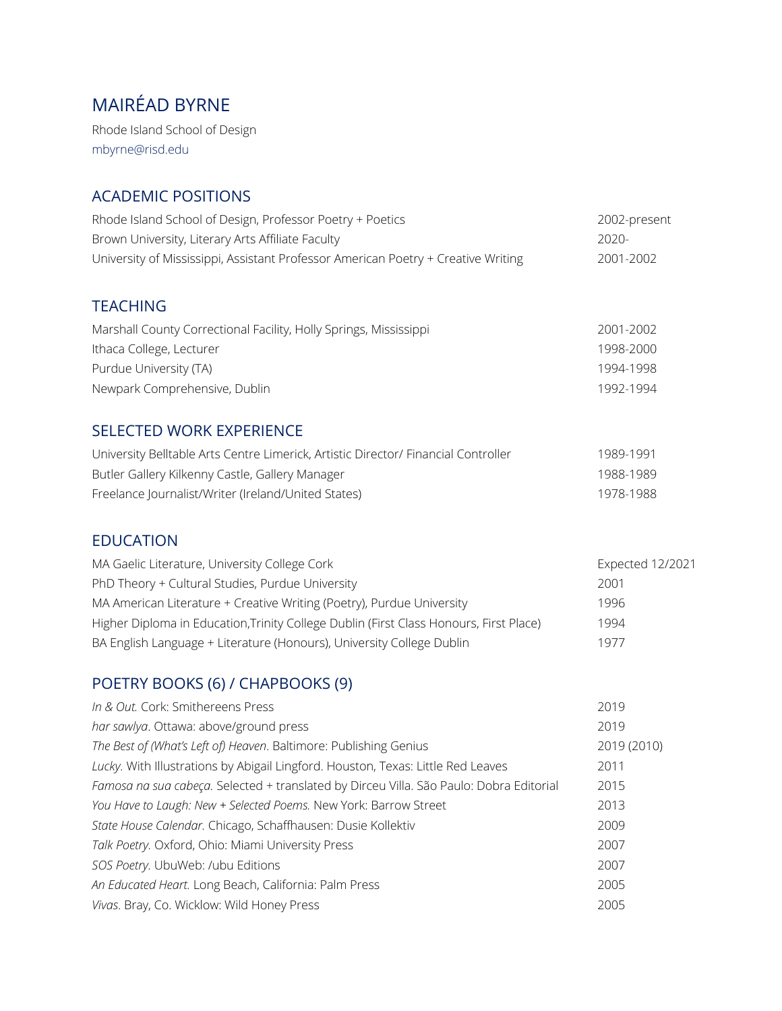# MAIRÉAD BYRNE

Rhode Island School of Design mbyrne@risd.edu

## ACADEMIC POSITIONS

| Rhode Island School of Design, Professor Poetry + Poetics                         | 2002-present |
|-----------------------------------------------------------------------------------|--------------|
| Brown University, Literary Arts Affiliate Faculty                                 | $2020-$      |
| University of Mississippi, Assistant Professor American Poetry + Creative Writing | 2001-2002    |

## **TEACHING**

| Marshall County Correctional Facility, Holly Springs, Mississippi | 2001-2002 |
|-------------------------------------------------------------------|-----------|
| Ithaca College, Lecturer                                          | 1998-2000 |
| Purdue University (TA)                                            | 1994-1998 |
| Newpark Comprehensive, Dublin                                     | 1992-1994 |

## SELECTED WORK EXPERIENCE

| University Belltable Arts Centre Limerick, Artistic Director/ Financial Controller | 1989-1991 |
|------------------------------------------------------------------------------------|-----------|
| Butler Gallery Kilkenny Castle, Gallery Manager                                    | 1988-1989 |
| Freelance Journalist/Writer (Ireland/United States)                                | 1978-1988 |

## EDUCATION

| MA Gaelic Literature, University College Cork                                          | Expected 12/2021 |
|----------------------------------------------------------------------------------------|------------------|
| PhD Theory + Cultural Studies, Purdue University                                       | 2001             |
| MA American Literature + Creative Writing (Poetry), Purdue University                  | 1996             |
| Higher Diploma in Education, Trinity College Dublin (First Class Honours, First Place) | 1994             |
| BA English Language + Literature (Honours), University College Dublin                  | 1977             |

## POETRY BOOKS (6) / CHAPBOOKS (9)

| 2019        |
|-------------|
| 2019        |
| 2019 (2010) |
| 2011        |
| 2015        |
| 2013        |
| 2009        |
| 2007        |
| 2007        |
| 2005        |
| 2005        |
|             |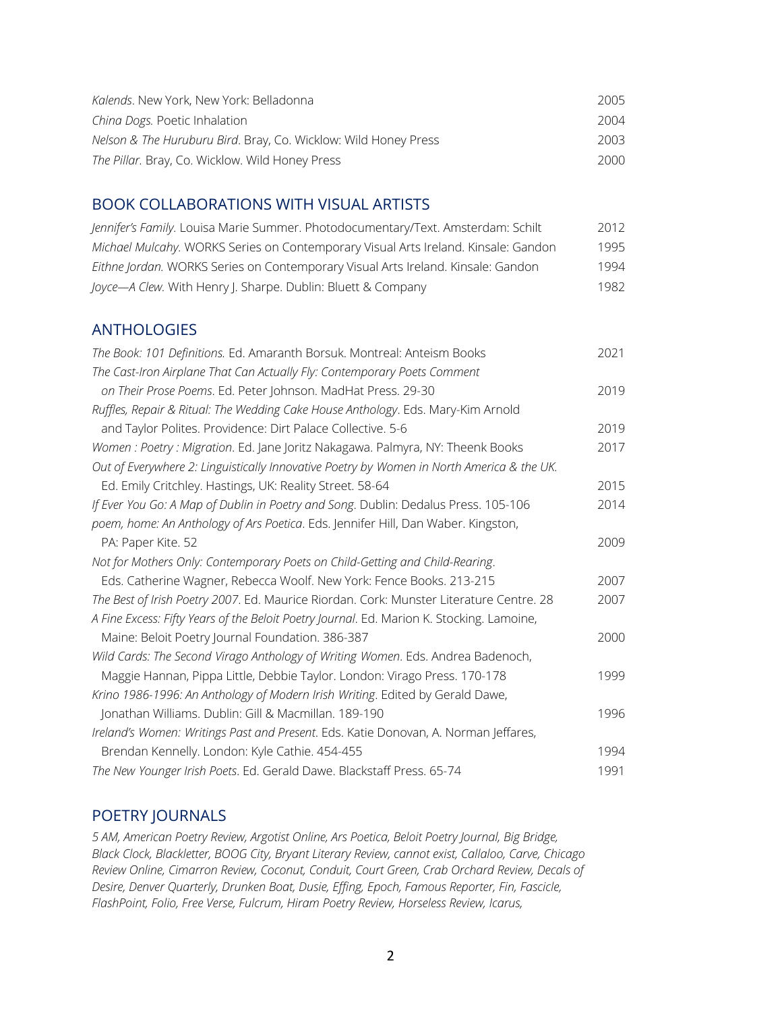| Kalends. New York, New York: Belladonna                         | 2005  |
|-----------------------------------------------------------------|-------|
| China Dogs. Poetic Inhalation                                   | 2004  |
| Nelson & The Huruburu Bird. Bray, Co. Wicklow: Wild Honey Press | 2003. |
| The Pillar. Bray, Co. Wicklow. Wild Honey Press                 | 2000  |

### BOOK COLLABORATIONS WITH VISUAL ARTISTS

| Jennifer's Family. Louisa Marie Summer. Photodocumentary/Text. Amsterdam: Schilt   | 2012 |
|------------------------------------------------------------------------------------|------|
| Michael Mulcahy. WORKS Series on Contemporary Visual Arts Ireland. Kinsale: Gandon | 1995 |
| Eithne Jordan. WORKS Series on Contemporary Visual Arts Ireland. Kinsale: Gandon   | 1994 |
| Joyce-A Clew. With Henry J. Sharpe. Dublin: Bluett & Company                       | 1982 |

### ANTHOLOGIES

| The Book: 101 Definitions. Ed. Amaranth Borsuk. Montreal: Anteism Books                   | 2021 |
|-------------------------------------------------------------------------------------------|------|
| The Cast-Iron Airplane That Can Actually Fly: Contemporary Poets Comment                  |      |
| on Their Prose Poems. Ed. Peter Johnson. MadHat Press. 29-30                              | 2019 |
| Ruffles, Repair & Ritual: The Wedding Cake House Anthology. Eds. Mary-Kim Arnold          |      |
| and Taylor Polites. Providence: Dirt Palace Collective. 5-6                               | 2019 |
| Women: Poetry: Migration. Ed. Jane Joritz Nakagawa. Palmyra, NY: Theenk Books             | 2017 |
| Out of Everywhere 2: Linguistically Innovative Poetry by Women in North America & the UK. |      |
| Ed. Emily Critchley. Hastings, UK: Reality Street. 58-64                                  | 2015 |
| If Ever You Go: A Map of Dublin in Poetry and Song. Dublin: Dedalus Press. 105-106        | 2014 |
| poem, home: An Anthology of Ars Poetica. Eds. Jennifer Hill, Dan Waber. Kingston,         |      |
| PA: Paper Kite. 52                                                                        | 2009 |
| Not for Mothers Only: Contemporary Poets on Child-Getting and Child-Rearing.              |      |
| Eds. Catherine Wagner, Rebecca Woolf. New York: Fence Books. 213-215                      | 2007 |
| The Best of Irish Poetry 2007. Ed. Maurice Riordan. Cork: Munster Literature Centre. 28   | 2007 |
| A Fine Excess: Fifty Years of the Beloit Poetry Journal. Ed. Marion K. Stocking. Lamoine, |      |
| Maine: Beloit Poetry Journal Foundation. 386-387                                          | 2000 |
| Wild Cards: The Second Virago Anthology of Writing Women. Eds. Andrea Badenoch,           |      |
| Maggie Hannan, Pippa Little, Debbie Taylor. London: Virago Press. 170-178                 | 1999 |
| Krino 1986-1996: An Anthology of Modern Irish Writing. Edited by Gerald Dawe,             |      |
| Jonathan Williams. Dublin: Gill & Macmillan. 189-190                                      | 1996 |
| Ireland's Women: Writings Past and Present. Eds. Katie Donovan, A. Norman Jeffares,       |      |
| Brendan Kennelly. London: Kyle Cathie. 454-455                                            | 1994 |
| The New Younger Irish Poets. Ed. Gerald Dawe. Blackstaff Press. 65-74                     | 1991 |

## POETRY JOURNALS

*5 AM, American Poetry Review, Argotist Online, Ars Poetica, Beloit Poetry Journal, Big Bridge, Black Clock, Blackletter, BOOG City, Bryant Literary Review, cannot exist, Callaloo, Carve, Chicago Review Online, Cimarron Review, Coconut, Conduit, Court Green, Crab Orchard Review, Decals of Desire, Denver Quarterly, Drunken Boat, Dusie, Effing, Epoch, Famous Reporter, Fin, Fascicle, FlashPoint, Folio, Free Verse, Fulcrum, Hiram Poetry Review, Horseless Review, Icarus,*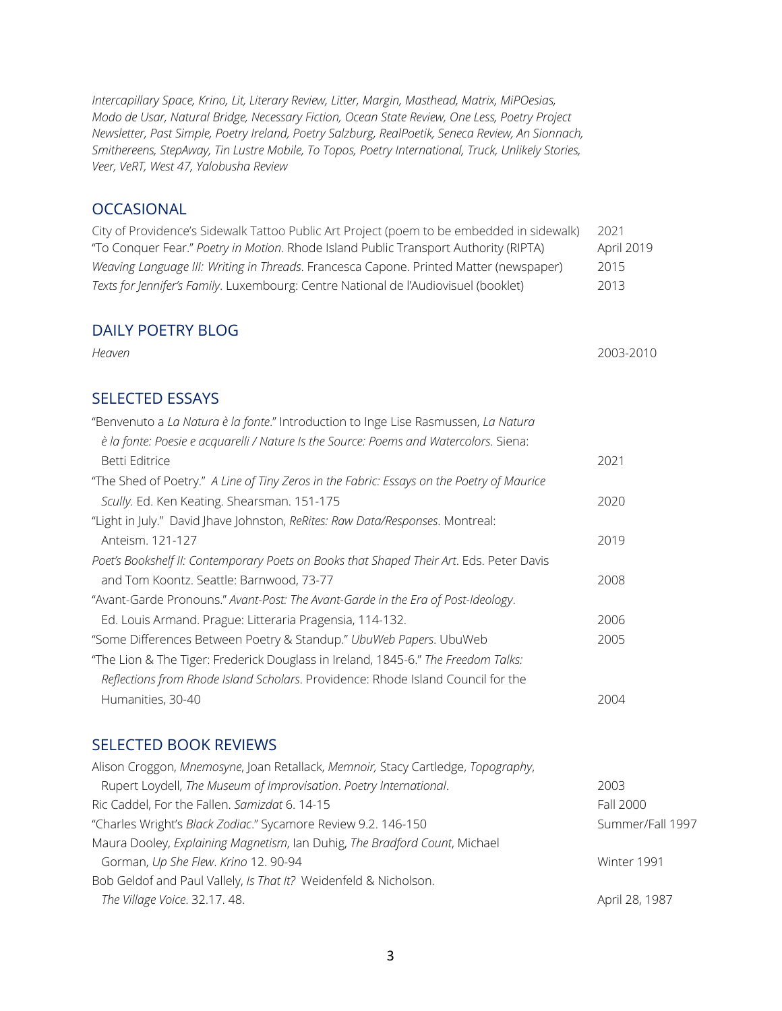*Intercapillary Space, Krino, Lit, Literary Review, Litter, Margin, Masthead, Matrix, MiPOesias, Modo de Usar, Natural Bridge, Necessary Fiction, Ocean State Review, One Less, Poetry Project Newsletter, Past Simple, Poetry Ireland, Poetry Salzburg, RealPoetik, Seneca Review, An Sionnach, Smithereens, StepAway, Tin Lustre Mobile, To Topos, Poetry International, Truck, Unlikely Stories, Veer, VeRT, West 47, Yalobusha Review*

### **OCCASIONAL**

| City of Providence's Sidewalk Tattoo Public Art Project (poem to be embedded in sidewalk) | - 2021     |
|-------------------------------------------------------------------------------------------|------------|
| "To Conquer Fear." Poetry in Motion. Rhode Island Public Transport Authority (RIPTA)      | April 2019 |
| Weaving Language III: Writing in Threads. Francesca Capone. Printed Matter (newspaper)    | 2015       |
| Texts for Jennifer's Family. Luxembourg: Centre National de l'Audiovisuel (booklet)       | 2013       |

#### DAILY POETRY BLOG

*Heaven* 2003-2010

### SELECTED ESSAYS

| "Benvenuto a La Natura è la fonte." Introduction to Inge Lise Rasmussen, La Natura        |      |
|-------------------------------------------------------------------------------------------|------|
| è la fonte: Poesie e acquarelli / Nature Is the Source: Poems and Watercolors. Siena:     |      |
| Betti Editrice                                                                            | 2021 |
| "The Shed of Poetry." A Line of Tiny Zeros in the Fabric: Essays on the Poetry of Maurice |      |
| Scully. Ed. Ken Keating. Shearsman. 151-175                                               | 2020 |
| "Light in July." David Jhave Johnston, ReRites: Raw Data/Responses. Montreal:             |      |
| Anteism, 121-127                                                                          | 2019 |
| Poet's Bookshelf II: Contemporary Poets on Books that Shaped Their Art. Eds. Peter Davis  |      |
| and Tom Koontz. Seattle: Barnwood, 73-77                                                  | 2008 |
| "Avant-Garde Pronouns." Avant-Post: The Avant-Garde in the Era of Post-Ideology.          |      |
| Ed. Louis Armand. Prague: Litteraria Pragensia, 114-132.                                  | 2006 |
| "Some Differences Between Poetry & Standup." UbuWeb Papers. UbuWeb                        | 2005 |
| "The Lion & The Tiger: Frederick Douglass in Ireland, 1845-6." The Freedom Talks:         |      |
| Reflections from Rhode Island Scholars. Providence: Rhode Island Council for the          |      |
| Humanities, 30-40                                                                         | 2004 |
|                                                                                           |      |

## SELECTED BOOK REVIEWS

| 2003             |
|------------------|
| Fall 2000        |
| Summer/Fall 1997 |
|                  |
| Winter 1991      |
|                  |
| April 28, 1987   |
|                  |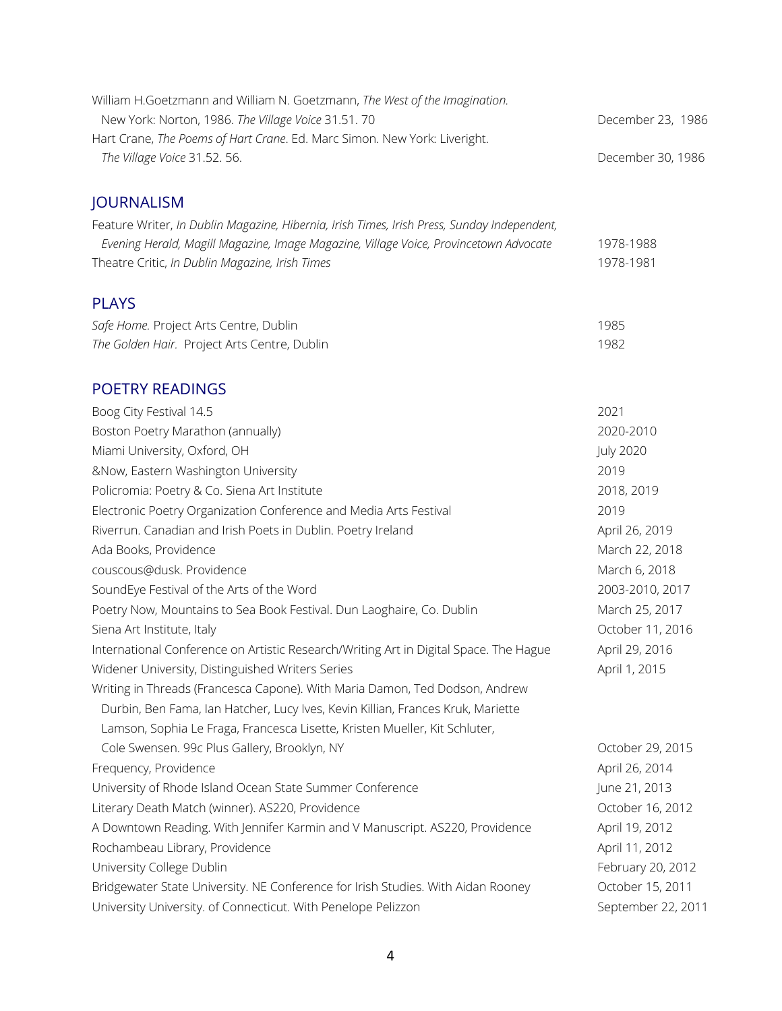| William H.Goetzmann and William N. Goetzmann, The West of the Imagination.<br>New York: Norton, 1986. The Village Voice 31.51. 70 | December 23, 1986  |
|-----------------------------------------------------------------------------------------------------------------------------------|--------------------|
| Hart Crane, The Poems of Hart Crane. Ed. Marc Simon. New York: Liveright.                                                         |                    |
| The Village Voice 31.52. 56.                                                                                                      | December 30, 1986  |
| <b>JOURNALISM</b>                                                                                                                 |                    |
| Feature Writer, In Dublin Magazine, Hibernia, Irish Times, Irish Press, Sunday Independent,                                       |                    |
| Evening Herald, Magill Magazine, Image Magazine, Village Voice, Provincetown Advocate                                             | 1978-1988          |
| Theatre Critic, In Dublin Magazine, Irish Times                                                                                   | 1978-1981          |
| <b>PLAYS</b>                                                                                                                      |                    |
| Safe Home. Project Arts Centre, Dublin                                                                                            | 1985               |
| The Golden Hair. Project Arts Centre, Dublin                                                                                      | 1982               |
| <b>POETRY READINGS</b>                                                                                                            |                    |
| Boog City Festival 14.5                                                                                                           | 2021               |
| Boston Poetry Marathon (annually)                                                                                                 | 2020-2010          |
| Miami University, Oxford, OH                                                                                                      | <b>July 2020</b>   |
| &Now, Eastern Washington University                                                                                               | 2019               |
| Policromia: Poetry & Co. Siena Art Institute                                                                                      | 2018, 2019         |
| Electronic Poetry Organization Conference and Media Arts Festival                                                                 | 2019               |
| Riverrun. Canadian and Irish Poets in Dublin. Poetry Ireland                                                                      | April 26, 2019     |
| Ada Books, Providence                                                                                                             | March 22, 2018     |
| couscous@dusk. Providence                                                                                                         | March 6, 2018      |
| SoundEye Festival of the Arts of the Word                                                                                         | 2003-2010, 2017    |
| Poetry Now, Mountains to Sea Book Festival. Dun Laoghaire, Co. Dublin                                                             | March 25, 2017     |
| Siena Art Institute, Italy                                                                                                        | October 11, 2016   |
| International Conference on Artistic Research/Writing Art in Digital Space. The Hague                                             | April 29, 2016     |
| Widener University, Distinguished Writers Series                                                                                  | April 1, 2015      |
| Writing in Threads (Francesca Capone). With Maria Damon, Ted Dodson, Andrew                                                       |                    |
| Durbin, Ben Fama, Ian Hatcher, Lucy Ives, Kevin Killian, Frances Kruk, Mariette                                                   |                    |
| Lamson, Sophia Le Fraga, Francesca Lisette, Kristen Mueller, Kit Schluter,                                                        |                    |
| Cole Swensen. 99c Plus Gallery, Brooklyn, NY                                                                                      | October 29, 2015   |
| Frequency, Providence                                                                                                             | April 26, 2014     |
| University of Rhode Island Ocean State Summer Conference                                                                          | June 21, 2013      |
| Literary Death Match (winner). AS220, Providence                                                                                  | October 16, 2012   |
| A Downtown Reading. With Jennifer Karmin and V Manuscript. AS220, Providence                                                      | April 19, 2012     |
| Rochambeau Library, Providence                                                                                                    | April 11, 2012     |
| University College Dublin                                                                                                         | February 20, 2012  |
| Bridgewater State University. NE Conference for Irish Studies. With Aidan Rooney                                                  | October 15, 2011   |
| University University. of Connecticut. With Penelope Pelizzon                                                                     | September 22, 2011 |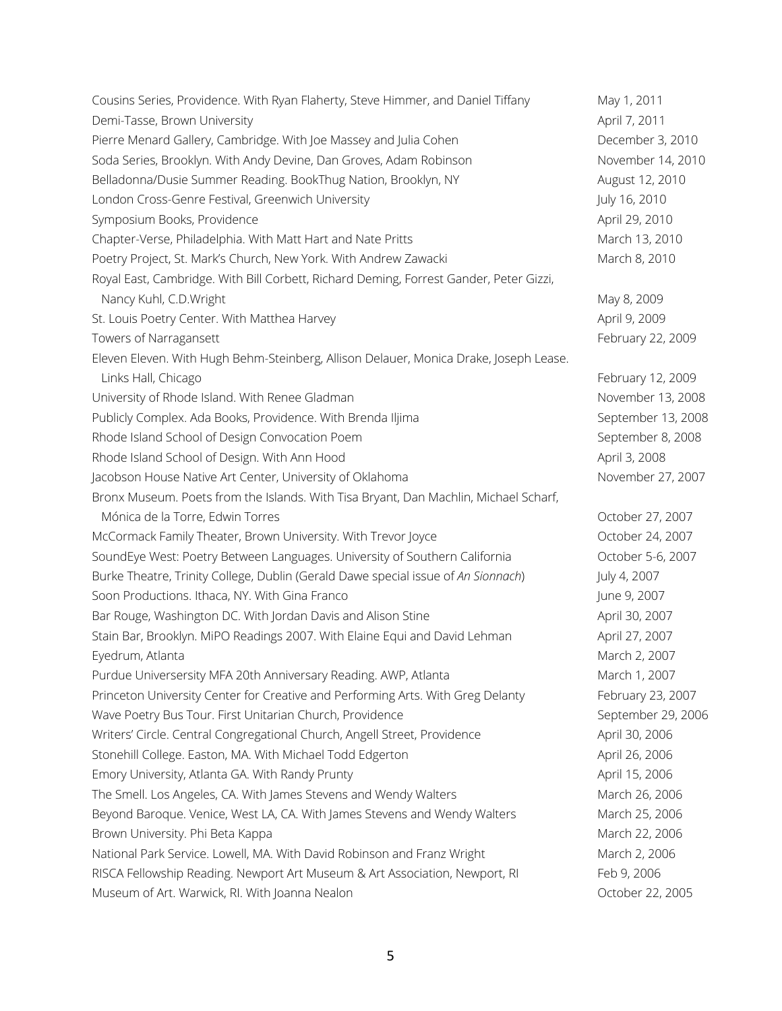| Cousins Series, Providence. With Ryan Flaherty, Steve Himmer, and Daniel Tiffany       | May 1, 2011        |
|----------------------------------------------------------------------------------------|--------------------|
| Demi-Tasse, Brown University                                                           | April 7, 2011      |
| Pierre Menard Gallery, Cambridge. With Joe Massey and Julia Cohen                      | December 3, 2010   |
| Soda Series, Brooklyn. With Andy Devine, Dan Groves, Adam Robinson                     | November 14, 2010  |
| Belladonna/Dusie Summer Reading. BookThug Nation, Brooklyn, NY                         | August 12, 2010    |
| London Cross-Genre Festival, Greenwich University                                      | July 16, 2010      |
| Symposium Books, Providence                                                            | April 29, 2010     |
| Chapter-Verse, Philadelphia. With Matt Hart and Nate Pritts                            | March 13, 2010     |
| Poetry Project, St. Mark's Church, New York. With Andrew Zawacki                       | March 8, 2010      |
| Royal East, Cambridge. With Bill Corbett, Richard Deming, Forrest Gander, Peter Gizzi, |                    |
| Nancy Kuhl, C.D. Wright                                                                | May 8, 2009        |
| St. Louis Poetry Center. With Matthea Harvey                                           | April 9, 2009      |
| Towers of Narragansett                                                                 | February 22, 2009  |
| Eleven Eleven. With Hugh Behm-Steinberg, Allison Delauer, Monica Drake, Joseph Lease.  |                    |
| Links Hall, Chicago                                                                    | February 12, 2009  |
| University of Rhode Island. With Renee Gladman                                         | November 13, 2008  |
| Publicly Complex. Ada Books, Providence. With Brenda Iljima                            | September 13, 2008 |
| Rhode Island School of Design Convocation Poem                                         | September 8, 2008  |
| Rhode Island School of Design. With Ann Hood                                           | April 3, 2008      |
| Jacobson House Native Art Center, University of Oklahoma                               | November 27, 2007  |
| Bronx Museum. Poets from the Islands. With Tisa Bryant, Dan Machlin, Michael Scharf,   |                    |
| Mónica de la Torre, Edwin Torres                                                       | October 27, 2007   |
| McCormack Family Theater, Brown University. With Trevor Joyce                          | October 24, 2007   |
| SoundEye West: Poetry Between Languages. University of Southern California             | October 5-6, 2007  |
| Burke Theatre, Trinity College, Dublin (Gerald Dawe special issue of An Sionnach)      | July 4, 2007       |
| Soon Productions. Ithaca, NY. With Gina Franco                                         | June 9, 2007       |
| Bar Rouge, Washington DC. With Jordan Davis and Alison Stine                           | April 30, 2007     |
| Stain Bar, Brooklyn. MiPO Readings 2007. With Elaine Equi and David Lehman             | April 27, 2007     |
| Eyedrum, Atlanta                                                                       | March 2, 2007      |
| Purdue Universersity MFA 20th Anniversary Reading. AWP, Atlanta                        | March 1, 2007      |
| Princeton University Center for Creative and Performing Arts. With Greg Delanty        | February 23, 2007  |
| Wave Poetry Bus Tour. First Unitarian Church, Providence                               | September 29, 2006 |
| Writers' Circle. Central Congregational Church, Angell Street, Providence              | April 30, 2006     |
| Stonehill College. Easton, MA. With Michael Todd Edgerton                              | April 26, 2006     |
| Emory University, Atlanta GA. With Randy Prunty                                        | April 15, 2006     |
| The Smell. Los Angeles, CA. With James Stevens and Wendy Walters                       | March 26, 2006     |
| Beyond Baroque. Venice, West LA, CA. With James Stevens and Wendy Walters              | March 25, 2006     |
| Brown University. Phi Beta Kappa                                                       | March 22, 2006     |
| National Park Service. Lowell, MA. With David Robinson and Franz Wright                | March 2, 2006      |
| RISCA Fellowship Reading. Newport Art Museum & Art Association, Newport, RI            | Feb 9, 2006        |
| Museum of Art. Warwick, RI. With Joanna Nealon                                         | October 22, 2005   |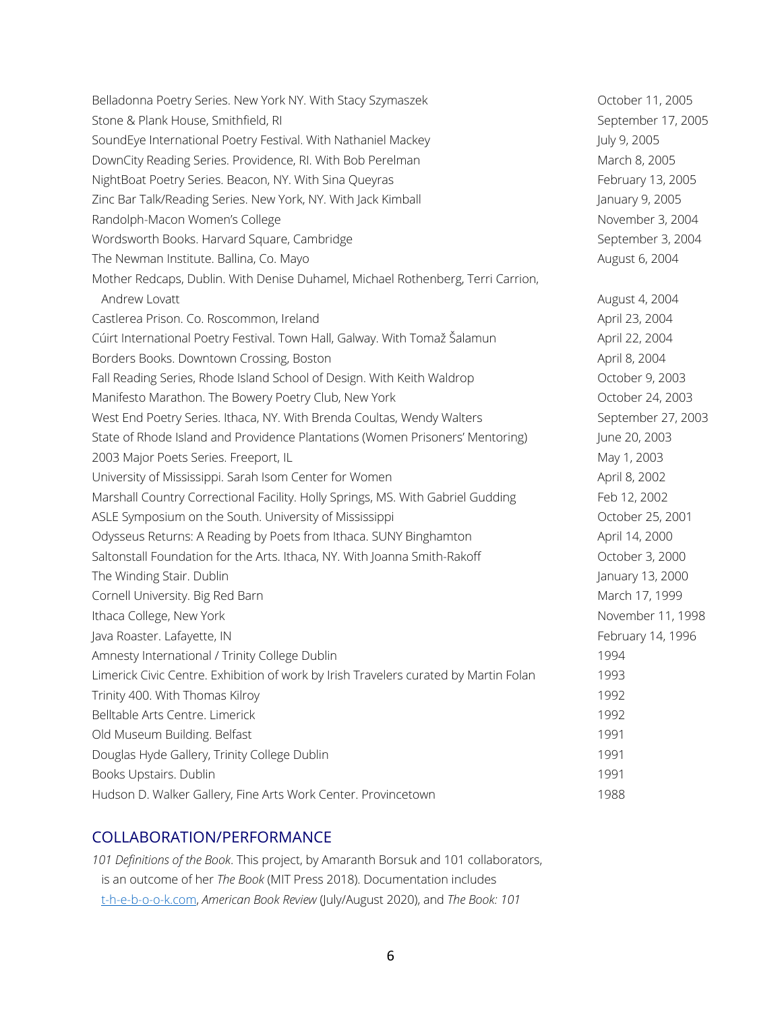| Belladonna Poetry Series. New York NY. With Stacy Szymaszek                          | October 11, 2005   |
|--------------------------------------------------------------------------------------|--------------------|
| Stone & Plank House, Smithfield, RI                                                  | September 17, 2005 |
| SoundEye International Poetry Festival. With Nathaniel Mackey                        | July 9, 2005       |
| DownCity Reading Series. Providence, RI. With Bob Perelman                           | March 8, 2005      |
| NightBoat Poetry Series. Beacon, NY. With Sina Queyras                               | February 13, 2005  |
| Zinc Bar Talk/Reading Series. New York, NY. With Jack Kimball                        | January 9, 2005    |
| Randolph-Macon Women's College                                                       | November 3, 2004   |
| Wordsworth Books. Harvard Square, Cambridge                                          | September 3, 2004  |
| The Newman Institute. Ballina, Co. Mayo                                              | August 6, 2004     |
| Mother Redcaps, Dublin. With Denise Duhamel, Michael Rothenberg, Terri Carrion,      |                    |
| Andrew Lovatt                                                                        | August 4, 2004     |
| Castlerea Prison. Co. Roscommon, Ireland                                             | April 23, 2004     |
| Cúirt International Poetry Festival. Town Hall, Galway. With Tomaž Šalamun           | April 22, 2004     |
| Borders Books. Downtown Crossing, Boston                                             | April 8, 2004      |
| Fall Reading Series, Rhode Island School of Design. With Keith Waldrop               | October 9, 2003    |
| Manifesto Marathon. The Bowery Poetry Club, New York                                 | October 24, 2003   |
| West End Poetry Series. Ithaca, NY. With Brenda Coultas, Wendy Walters               | September 27, 2003 |
| State of Rhode Island and Providence Plantations (Women Prisoners' Mentoring)        | June 20, 2003      |
| 2003 Major Poets Series. Freeport, IL                                                | May 1, 2003        |
| University of Mississippi. Sarah Isom Center for Women                               | April 8, 2002      |
| Marshall Country Correctional Facility. Holly Springs, MS. With Gabriel Gudding      | Feb 12, 2002       |
| ASLE Symposium on the South. University of Mississippi                               | October 25, 2001   |
| Odysseus Returns: A Reading by Poets from Ithaca. SUNY Binghamton                    | April 14, 2000     |
| Saltonstall Foundation for the Arts. Ithaca, NY. With Joanna Smith-Rakoff            | October 3, 2000    |
| The Winding Stair. Dublin                                                            | January 13, 2000   |
| Cornell University. Big Red Barn                                                     | March 17, 1999     |
| Ithaca College, New York                                                             | November 11, 1998  |
| Java Roaster. Lafayette, IN                                                          | February 14, 1996  |
| Amnesty International / Trinity College Dublin                                       | 1994               |
| Limerick Civic Centre. Exhibition of work by Irish Travelers curated by Martin Folan | 1993               |
| Trinity 400. With Thomas Kilroy                                                      | 1992               |
| Belltable Arts Centre. Limerick                                                      | 1992               |
| Old Museum Building. Belfast                                                         | 1991               |
| Douglas Hyde Gallery, Trinity College Dublin                                         | 1991               |
| Books Upstairs. Dublin                                                               | 1991               |
| Hudson D. Walker Gallery, Fine Arts Work Center. Provincetown                        | 1988               |

## COLLABORATION/PERFORMANCE

*101 Definitions of the Book*. This project, by Amaranth Borsuk and 101 collaborators, is an outcome of her *The Book* (MIT Press 2018). Documentation includes t-h-e-b-o-o-k.com, *American Book Review* (July/August 2020), and *The Book: 101*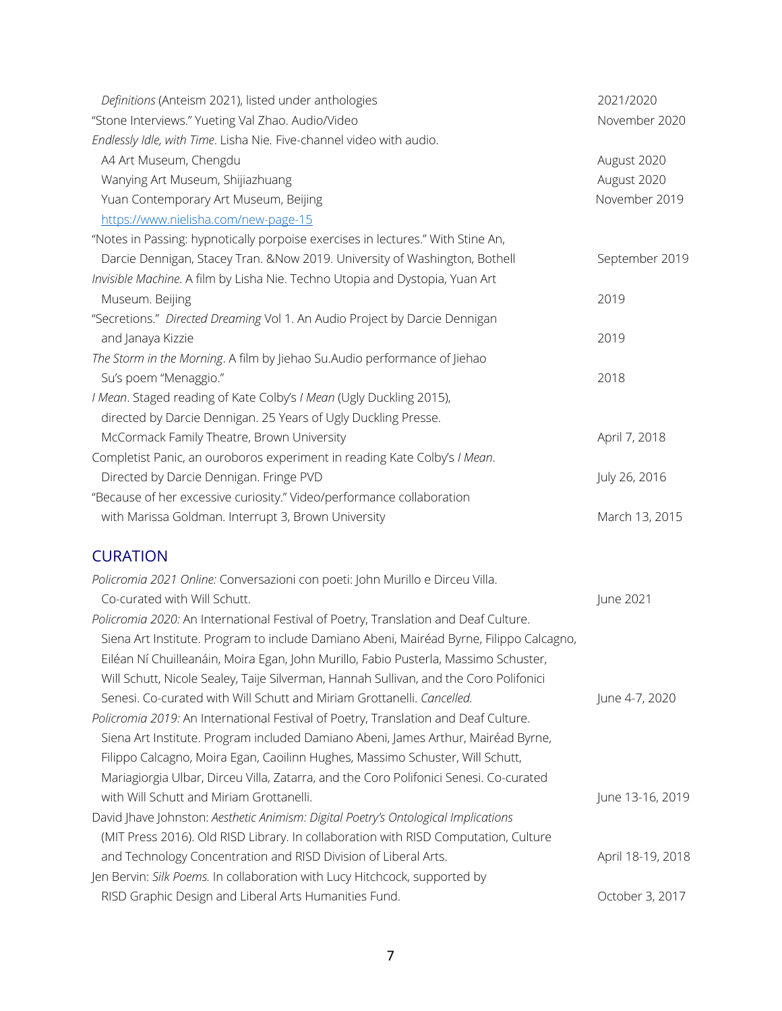| Definitions (Anteism 2021), listed under anthologies                            | 2021/2020      |
|---------------------------------------------------------------------------------|----------------|
| "Stone Interviews." Yueting Val Zhao. Audio/Video                               | November 2020  |
| Endlessly Idle, with Time. Lisha Nie. Five-channel video with audio.            |                |
| A4 Art Museum, Chengdu                                                          | August 2020    |
| Wanying Art Museum, Shijiazhuang                                                | August 2020    |
| Yuan Contemporary Art Museum, Beijing                                           | November 2019  |
| https://www.nielisha.com/new-page-15                                            |                |
| "Notes in Passing: hypnotically porpoise exercises in lectures." With Stine An, |                |
| Darcie Dennigan, Stacey Tran. & Now 2019. University of Washington, Bothell     | September 2019 |
| Invisible Machine. A film by Lisha Nie. Techno Utopia and Dystopia, Yuan Art    |                |
| Museum. Beijing                                                                 | 2019           |
| "Secretions." Directed Dreaming Vol 1. An Audio Project by Darcie Dennigan      |                |
| and Janaya Kizzie                                                               | 2019           |
| The Storm in the Morning. A film by Jiehao Su.Audio performance of Jiehao       |                |
| Su's poem "Menaggio."                                                           | 2018           |
| I Mean. Staged reading of Kate Colby's I Mean (Ugly Duckling 2015),             |                |
| directed by Darcie Dennigan. 25 Years of Ugly Duckling Presse.                  |                |
| McCormack Family Theatre, Brown University                                      | April 7, 2018  |
| Completist Panic, an ouroboros experiment in reading Kate Colby's I Mean.       |                |
| Directed by Darcie Dennigan. Fringe PVD                                         | July 26, 2016  |
| "Because of her excessive curiosity." Video/performance collaboration           |                |
| with Marissa Goldman. Interrupt 3, Brown University                             | March 13, 2015 |
|                                                                                 |                |

## **CURATION**

| Policromia 2021 Online: Conversazioni con poeti: John Murillo e Dirceu Villa.           |                   |
|-----------------------------------------------------------------------------------------|-------------------|
| Co-curated with Will Schutt.                                                            | June 2021         |
| Policromia 2020: An International Festival of Poetry, Translation and Deaf Culture.     |                   |
| Siena Art Institute. Program to include Damiano Abeni, Mairéad Byrne, Filippo Calcagno, |                   |
| Eiléan Ní Chuilleanáin, Moira Egan, John Murillo, Fabio Pusterla, Massimo Schuster,     |                   |
| Will Schutt, Nicole Sealey, Taije Silverman, Hannah Sullivan, and the Coro Polifonici   |                   |
| Senesi. Co-curated with Will Schutt and Miriam Grottanelli. Cancelled.                  | June 4-7, 2020    |
| Policromia 2019: An International Festival of Poetry, Translation and Deaf Culture.     |                   |
| Siena Art Institute. Program included Damiano Abeni, James Arthur, Mairéad Byrne,       |                   |
| Filippo Calcagno, Moira Egan, Caoilinn Hughes, Massimo Schuster, Will Schutt,           |                   |
| Mariagiorgia Ulbar, Dirceu Villa, Zatarra, and the Coro Polifonici Senesi. Co-curated   |                   |
| with Will Schutt and Miriam Grottanelli.                                                | June 13-16, 2019  |
| David Jhave Johnston: Aesthetic Animism: Digital Poetry's Ontological Implications      |                   |
| (MIT Press 2016). Old RISD Library. In collaboration with RISD Computation, Culture     |                   |
| and Technology Concentration and RISD Division of Liberal Arts.                         | April 18-19, 2018 |
| Jen Bervin: Silk Poems. In collaboration with Lucy Hitchcock, supported by              |                   |
| RISD Graphic Design and Liberal Arts Humanities Fund.                                   | October 3, 2017   |
|                                                                                         |                   |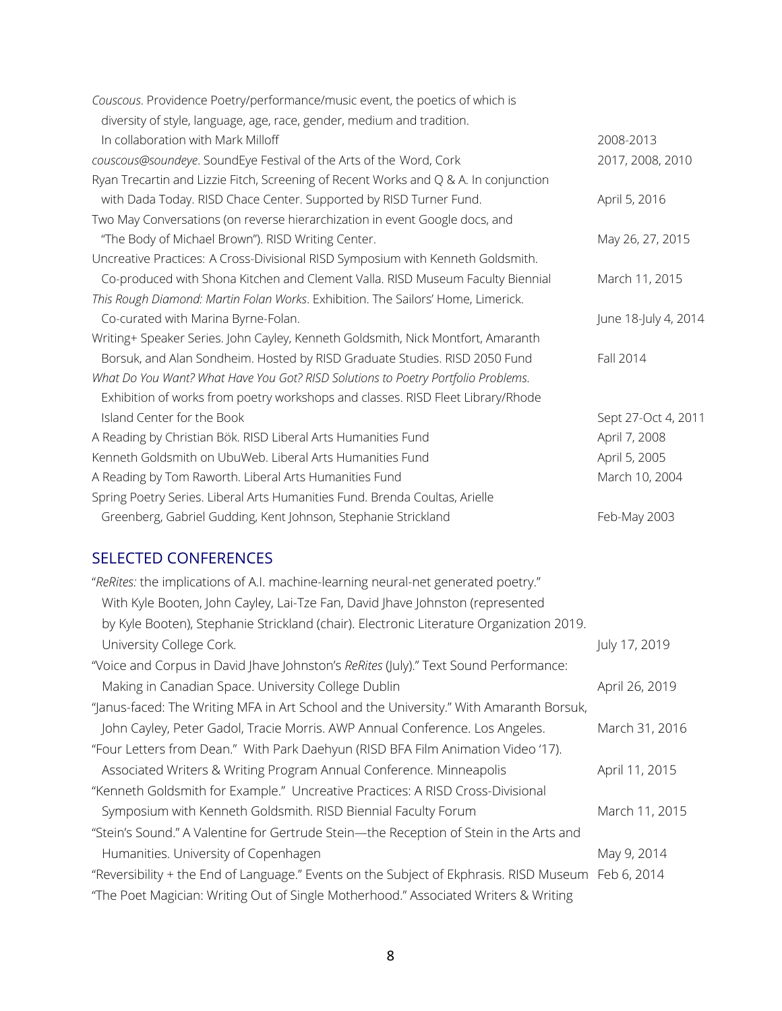| Couscous. Providence Poetry/performance/music event, the poetics of which is         |                      |
|--------------------------------------------------------------------------------------|----------------------|
| diversity of style, language, age, race, gender, medium and tradition.               |                      |
| In collaboration with Mark Milloff                                                   | 2008-2013            |
| couscous@soundeye. SoundEye Festival of the Arts of the Word, Cork                   | 2017, 2008, 2010     |
| Ryan Trecartin and Lizzie Fitch, Screening of Recent Works and Q & A. In conjunction |                      |
| with Dada Today. RISD Chace Center. Supported by RISD Turner Fund.                   | April 5, 2016        |
| Two May Conversations (on reverse hierarchization in event Google docs, and          |                      |
| "The Body of Michael Brown"). RISD Writing Center.                                   | May 26, 27, 2015     |
| Uncreative Practices: A Cross-Divisional RISD Symposium with Kenneth Goldsmith.      |                      |
| Co-produced with Shona Kitchen and Clement Valla. RISD Museum Faculty Biennial       | March 11, 2015       |
| This Rough Diamond: Martin Folan Works. Exhibition. The Sailors' Home, Limerick.     |                      |
| Co-curated with Marina Byrne-Folan.                                                  | June 18-July 4, 2014 |
| Writing+ Speaker Series. John Cayley, Kenneth Goldsmith, Nick Montfort, Amaranth     |                      |
| Borsuk, and Alan Sondheim. Hosted by RISD Graduate Studies. RISD 2050 Fund           | Fall 2014            |
| What Do You Want? What Have You Got? RISD Solutions to Poetry Portfolio Problems.    |                      |
| Exhibition of works from poetry workshops and classes. RISD Fleet Library/Rhode      |                      |
| Island Center for the Book                                                           | Sept 27-Oct 4, 2011  |
| A Reading by Christian Bök. RISD Liberal Arts Humanities Fund                        | April 7, 2008        |
| Kenneth Goldsmith on UbuWeb. Liberal Arts Humanities Fund                            | April 5, 2005        |
| A Reading by Tom Raworth. Liberal Arts Humanities Fund                               | March 10, 2004       |
| Spring Poetry Series. Liberal Arts Humanities Fund. Brenda Coultas, Arielle          |                      |
| Greenberg, Gabriel Gudding, Kent Johnson, Stephanie Strickland                       | Feb-May 2003         |

## SELECTED CONFERENCES

| "ReRites: the implications of A.I. machine-learning neural-net generated poetry."                  |                |
|----------------------------------------------------------------------------------------------------|----------------|
| With Kyle Booten, John Cayley, Lai-Tze Fan, David Jhave Johnston (represented                      |                |
| by Kyle Booten), Stephanie Strickland (chair). Electronic Literature Organization 2019.            |                |
| University College Cork.                                                                           | July 17, 2019  |
| "Voice and Corpus in David Jhave Johnston's ReRites (July)." Text Sound Performance:               |                |
| Making in Canadian Space. University College Dublin                                                | April 26, 2019 |
| "Janus-faced: The Writing MFA in Art School and the University." With Amaranth Borsuk,             |                |
| John Cayley, Peter Gadol, Tracie Morris. AWP Annual Conference. Los Angeles.                       | March 31, 2016 |
| "Four Letters from Dean." With Park Daehyun (RISD BFA Film Animation Video '17).                   |                |
| Associated Writers & Writing Program Annual Conference. Minneapolis                                | April 11, 2015 |
| "Kenneth Goldsmith for Example." Uncreative Practices: A RISD Cross-Divisional                     |                |
| Symposium with Kenneth Goldsmith. RISD Biennial Faculty Forum                                      | March 11, 2015 |
| "Stein's Sound." A Valentine for Gertrude Stein-the Reception of Stein in the Arts and             |                |
| Humanities. University of Copenhagen                                                               | May 9, 2014    |
| "Reversibility + the End of Language." Events on the Subject of Ekphrasis. RISD Museum Feb 6, 2014 |                |
| "The Poet Magician: Writing Out of Single Motherhood." Associated Writers & Writing                |                |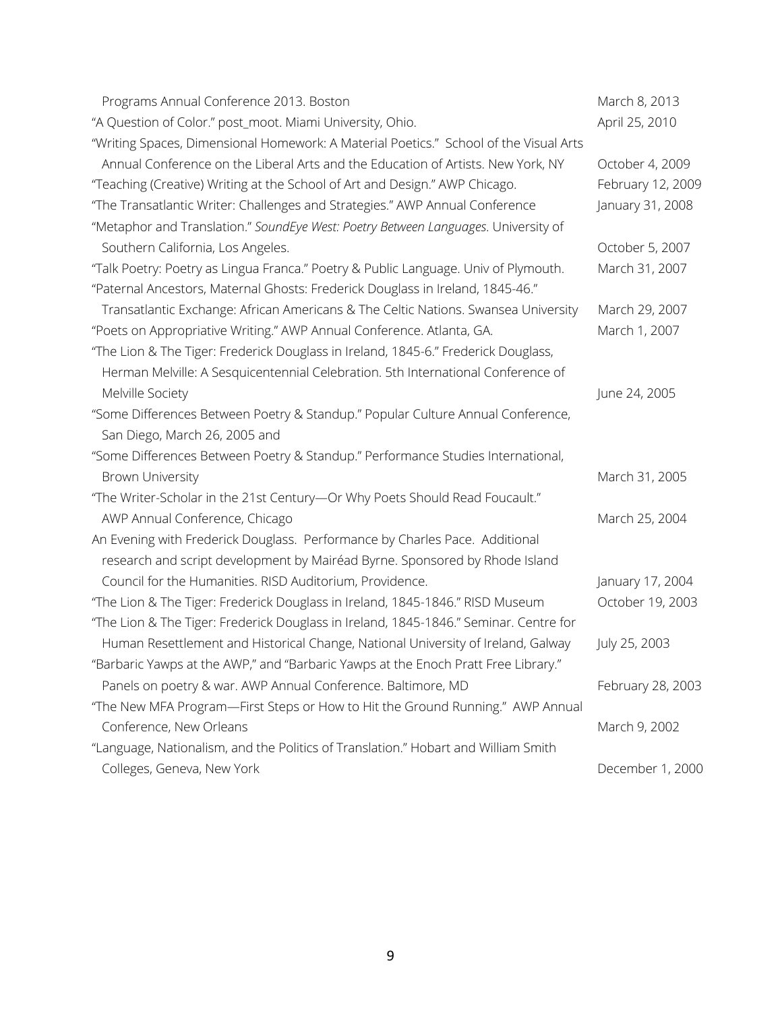| Programs Annual Conference 2013. Boston                                               | March 8, 2013     |
|---------------------------------------------------------------------------------------|-------------------|
| "A Question of Color." post_moot. Miami University, Ohio.                             | April 25, 2010    |
| "Writing Spaces, Dimensional Homework: A Material Poetics." School of the Visual Arts |                   |
| Annual Conference on the Liberal Arts and the Education of Artists. New York, NY      | October 4, 2009   |
| "Teaching (Creative) Writing at the School of Art and Design." AWP Chicago.           | February 12, 2009 |
| "The Transatlantic Writer: Challenges and Strategies." AWP Annual Conference          | January 31, 2008  |
| "Metaphor and Translation." SoundEye West: Poetry Between Languages. University of    |                   |
| Southern California, Los Angeles.                                                     | October 5, 2007   |
| "Talk Poetry: Poetry as Lingua Franca." Poetry & Public Language. Univ of Plymouth.   | March 31, 2007    |
| "Paternal Ancestors, Maternal Ghosts: Frederick Douglass in Ireland, 1845-46."        |                   |
| Transatlantic Exchange: African Americans & The Celtic Nations. Swansea University    | March 29, 2007    |
| "Poets on Appropriative Writing." AWP Annual Conference. Atlanta, GA.                 | March 1, 2007     |
| "The Lion & The Tiger: Frederick Douglass in Ireland, 1845-6." Frederick Douglass,    |                   |
| Herman Melville: A Sesquicentennial Celebration. 5th International Conference of      |                   |
| Melville Society                                                                      | June 24, 2005     |
| "Some Differences Between Poetry & Standup." Popular Culture Annual Conference,       |                   |
| San Diego, March 26, 2005 and                                                         |                   |
| "Some Differences Between Poetry & Standup." Performance Studies International,       |                   |
| <b>Brown University</b>                                                               | March 31, 2005    |
| "The Writer-Scholar in the 21st Century-Or Why Poets Should Read Foucault."           |                   |
| AWP Annual Conference, Chicago                                                        | March 25, 2004    |
| An Evening with Frederick Douglass. Performance by Charles Pace. Additional           |                   |
| research and script development by Mairéad Byrne. Sponsored by Rhode Island           |                   |
| Council for the Humanities. RISD Auditorium, Providence.                              | January 17, 2004  |
| "The Lion & The Tiger: Frederick Douglass in Ireland, 1845-1846." RISD Museum         | October 19, 2003  |
| "The Lion & The Tiger: Frederick Douglass in Ireland, 1845-1846." Seminar. Centre for |                   |
| Human Resettlement and Historical Change, National University of Ireland, Galway      | July 25, 2003     |
| "Barbaric Yawps at the AWP," and "Barbaric Yawps at the Enoch Pratt Free Library."    |                   |
| Panels on poetry & war. AWP Annual Conference. Baltimore, MD                          | February 28, 2003 |
| "The New MFA Program—First Steps or How to Hit the Ground Running." AWP Annual        |                   |
| Conference, New Orleans                                                               | March 9, 2002     |
| "Language, Nationalism, and the Politics of Translation." Hobart and William Smith    |                   |
| Colleges, Geneva, New York                                                            | December 1, 2000  |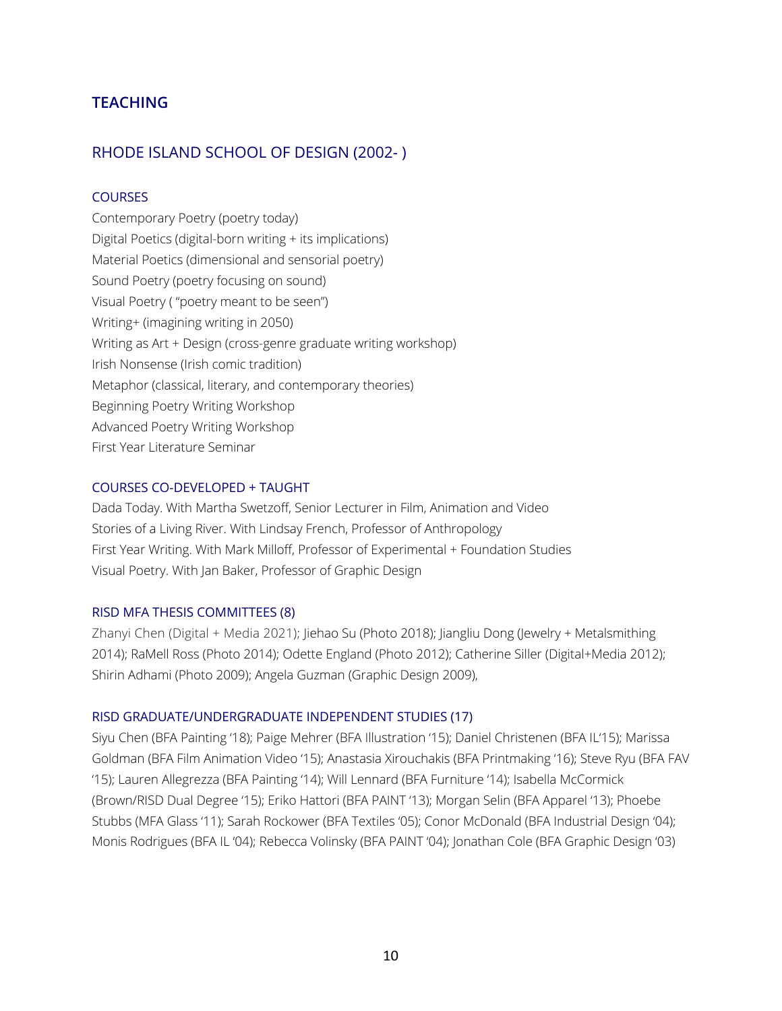## **TEACHING**

### RHODE ISLAND SCHOOL OF DESIGN (2002- )

#### **COURSES**

Contemporary Poetry (poetry today) Digital Poetics (digital-born writing + its implications) Material Poetics (dimensional and sensorial poetry) Sound Poetry (poetry focusing on sound) Visual Poetry ( "poetry meant to be seen") Writing+ (imagining writing in 2050) Writing as Art + Design (cross-genre graduate writing workshop) Irish Nonsense (Irish comic tradition) Metaphor (classical, literary, and contemporary theories) Beginning Poetry Writing Workshop Advanced Poetry Writing Workshop First Year Literature Seminar

#### COURSES CO-DEVELOPED + TAUGHT

Dada Today. With Martha Swetzoff, Senior Lecturer in Film, Animation and Video Stories of a Living River. With Lindsay French, Professor of Anthropology First Year Writing. With Mark Milloff, Professor of Experimental + Foundation Studies Visual Poetry. With Jan Baker, Professor of Graphic Design

#### RISD MFA THESIS COMMITTEES (8)

Zhanyi Chen (Digital + Media 2021); Jiehao Su (Photo 2018); Jiangliu Dong (Jewelry + Metalsmithing 2014); RaMell Ross (Photo 2014); Odette England (Photo 2012); Catherine Siller (Digital+Media 2012); Shirin Adhami (Photo 2009); Angela Guzman (Graphic Design 2009),

#### RISD GRADUATE/UNDERGRADUATE INDEPENDENT STUDIES (17)

Siyu Chen (BFA Painting '18); Paige Mehrer (BFA Illustration '15); Daniel Christenen (BFA IL'15); Marissa Goldman (BFA Film Animation Video '15); Anastasia Xirouchakis (BFA Printmaking '16); Steve Ryu (BFA FAV '15); Lauren Allegrezza (BFA Painting '14); Will Lennard (BFA Furniture '14); Isabella McCormick (Brown/RISD Dual Degree '15); Eriko Hattori (BFA PAINT '13); Morgan Selin (BFA Apparel '13); Phoebe Stubbs (MFA Glass '11); Sarah Rockower (BFA Textiles '05); Conor McDonald (BFA Industrial Design '04); Monis Rodrigues (BFA IL '04); Rebecca Volinsky (BFA PAINT '04); Jonathan Cole (BFA Graphic Design '03)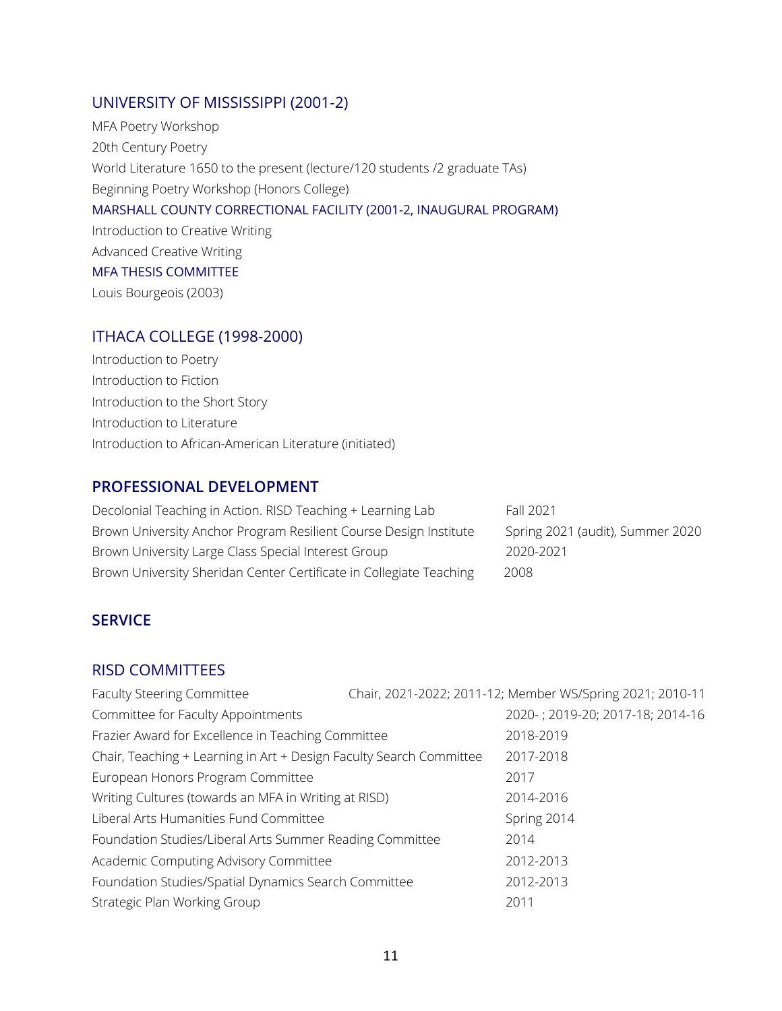### UNIVERSITY OF MISSISSIPPI (2001-2)

MFA Poetry Workshop 20th Century Poetry World Literature 1650 to the present (lecture/120 students /2 graduate TAs) Beginning Poetry Workshop (Honors College) MARSHALL COUNTY CORRECTIONAL FACILITY (2001-2, INAUGURAL PROGRAM) Introduction to Creative Writing Advanced Creative Writing MFA THESIS COMMITTEE Louis Bourgeois (2003)

### ITHACA COLLEGE (1998-2000)

Introduction to Poetry Introduction to Fiction Introduction to the Short Story Introduction to Literature Introduction to African-American Literature (initiated)

## **PROFESSIONAL DEVELOPMENT**

Decolonial Teaching in Action. RISD Teaching + Learning Lab Fall 2021 Brown University Anchor Program Resilient Course Design Institute Spring 2021 (audit), Summer 2020 Brown University Large Class Special Interest Group 2020-2021 Brown University Sheridan Center Certificate in Collegiate Teaching 2008

## **SERVICE**

## RISD COMMITTEES

| <b>Faculty Steering Committee</b>                                   | Chair, 2021-2022; 2011-12; Member WS/Spring 2021; 2010-11 |
|---------------------------------------------------------------------|-----------------------------------------------------------|
| Committee for Faculty Appointments                                  | 2020-; 2019-20; 2017-18; 2014-16                          |
| Frazier Award for Excellence in Teaching Committee                  | 2018-2019                                                 |
| Chair, Teaching + Learning in Art + Design Faculty Search Committee | 2017-2018                                                 |
| European Honors Program Committee                                   | 2017                                                      |
| Writing Cultures (towards an MFA in Writing at RISD)                | 2014-2016                                                 |
| Liberal Arts Humanities Fund Committee                              | Spring 2014                                               |
| Foundation Studies/Liberal Arts Summer Reading Committee            | 2014                                                      |
| Academic Computing Advisory Committee                               | 2012-2013                                                 |
| Foundation Studies/Spatial Dynamics Search Committee                | 2012-2013                                                 |
| Strategic Plan Working Group                                        | 2011                                                      |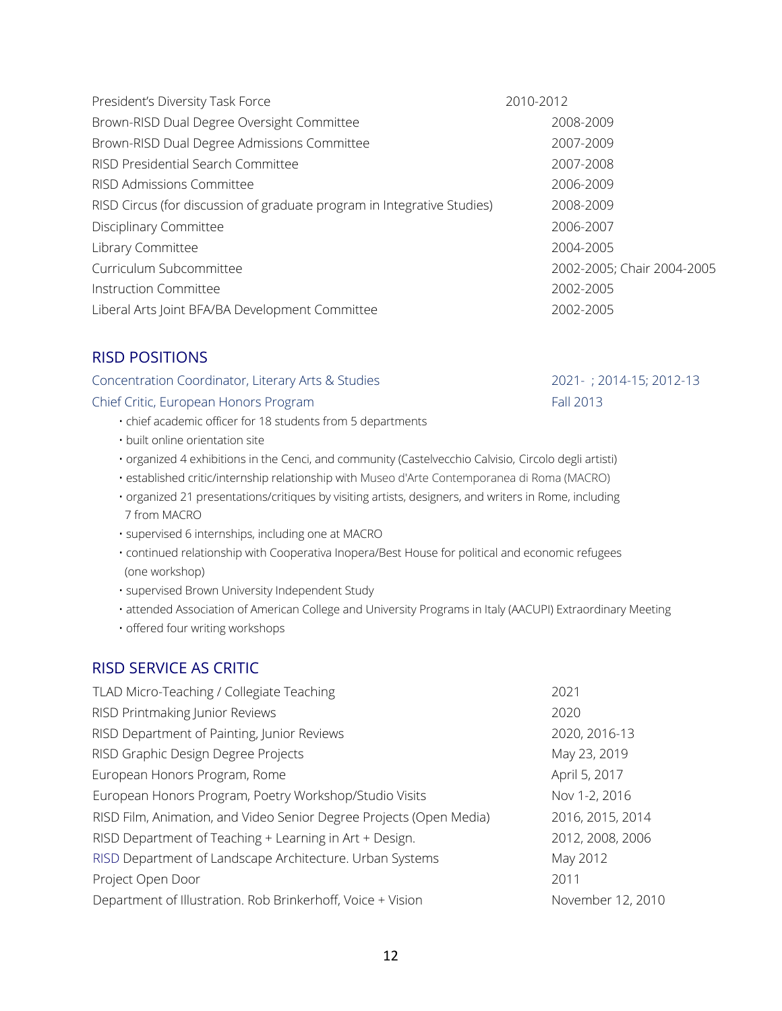| President's Diversity Task Force                                        | 2010-2012                  |
|-------------------------------------------------------------------------|----------------------------|
| Brown-RISD Dual Degree Oversight Committee                              | 2008-2009                  |
| Brown-RISD Dual Degree Admissions Committee                             | 2007-2009                  |
| RISD Presidential Search Committee                                      | 2007-2008                  |
| RISD Admissions Committee                                               | 2006-2009                  |
| RISD Circus (for discussion of graduate program in Integrative Studies) | 2008-2009                  |
| Disciplinary Committee                                                  | 2006-2007                  |
| Library Committee                                                       | 2004-2005                  |
| Curriculum Subcommittee                                                 | 2002-2005; Chair 2004-2005 |
| Instruction Committee                                                   | 2002-2005                  |
| Liberal Arts Joint BFA/BA Development Committee                         | 2002-2005                  |

### RISD POSITIONS

| Concentration Coordinator, Literary Arts & Studies          | 2021-; 2014-15; 2012-13 |
|-------------------------------------------------------------|-------------------------|
| Chief Critic, European Honors Program                       | Fall 2013               |
| . chief academic officer for 18 students from 5 departments |                         |

- built online orientation site
- organized 4 exhibitions in the Cenci, and community (Castelvecchio Calvisio, Circolo degli artisti)
- established critic/internship relationship with Museo d'Arte Contemporanea di Roma (MACRO)
- organized 21 presentations/critiques by visiting artists, designers, and writers in Rome, including 7 from MACRO
- supervised 6 internships, including one at MACRO
- continued relationship with Cooperativa Inopera/Best House for political and economic refugees (one workshop)
- supervised Brown University Independent Study
- attended Association of American College and University Programs in Italy (AACUPI) Extraordinary Meeting
- offered four writing workshops

## RISD SERVICE AS CRITIC

| TLAD Micro-Teaching / Collegiate Teaching                           | 2021              |
|---------------------------------------------------------------------|-------------------|
| RISD Printmaking Junior Reviews                                     | 2020              |
| RISD Department of Painting, Junior Reviews                         | 2020, 2016-13     |
| RISD Graphic Design Degree Projects                                 | May 23, 2019      |
| European Honors Program, Rome                                       | April 5, 2017     |
| European Honors Program, Poetry Workshop/Studio Visits              | Nov 1-2, 2016     |
| RISD Film, Animation, and Video Senior Degree Projects (Open Media) | 2016, 2015, 2014  |
| RISD Department of Teaching + Learning in Art + Design.             | 2012, 2008, 2006  |
| RISD Department of Landscape Architecture. Urban Systems            | May 2012          |
| Project Open Door                                                   | 2011              |
| Department of Illustration. Rob Brinkerhoff, Voice + Vision         | November 12, 2010 |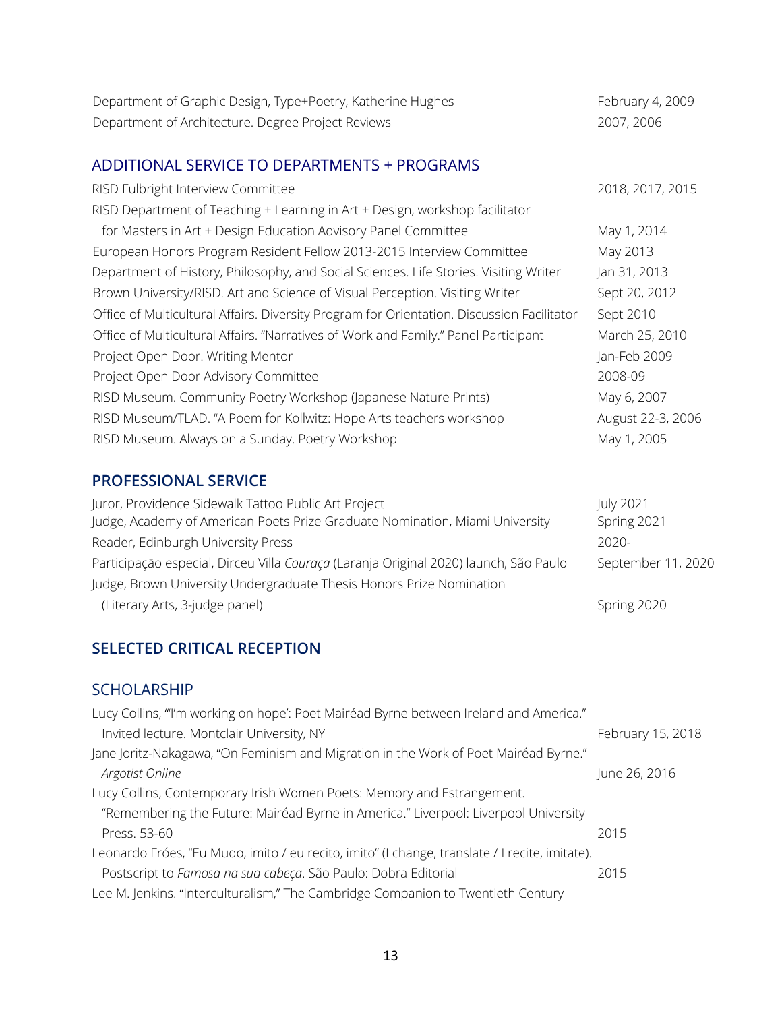| Department of Graphic Design, Type+Poetry, Katherine Hughes                                | February 4, 2009  |
|--------------------------------------------------------------------------------------------|-------------------|
| Department of Architecture. Degree Project Reviews                                         | 2007, 2006        |
|                                                                                            |                   |
| ADDITIONAL SERVICE TO DEPARTMENTS + PROGRAMS                                               |                   |
| RISD Fulbright Interview Committee                                                         | 2018, 2017, 2015  |
| RISD Department of Teaching + Learning in Art + Design, workshop facilitator               |                   |
| for Masters in Art + Design Education Advisory Panel Committee                             | May 1, 2014       |
| European Honors Program Resident Fellow 2013-2015 Interview Committee                      | May 2013          |
| Department of History, Philosophy, and Social Sciences. Life Stories. Visiting Writer      | Jan 31, 2013      |
| Brown University/RISD. Art and Science of Visual Perception. Visiting Writer               | Sept 20, 2012     |
| Office of Multicultural Affairs. Diversity Program for Orientation. Discussion Facilitator | Sept 2010         |
| Office of Multicultural Affairs. "Narratives of Work and Family." Panel Participant        | March 25, 2010    |
| Project Open Door. Writing Mentor                                                          | Jan-Feb 2009      |
| Project Open Door Advisory Committee                                                       | 2008-09           |
| RISD Museum. Community Poetry Workshop (Japanese Nature Prints)                            | May 6, 2007       |
| RISD Museum/TLAD. "A Poem for Kollwitz: Hope Arts teachers workshop                        | August 22-3, 2006 |
| RISD Museum. Always on a Sunday. Poetry Workshop                                           | May 1, 2005       |
|                                                                                            |                   |
| DDAEECCIANIAI CEDVICE                                                                      |                   |

### **PROFESSIONAL SERVICE**

| Juror, Providence Sidewalk Tattoo Public Art Project                                  | July 2021          |
|---------------------------------------------------------------------------------------|--------------------|
| Judge, Academy of American Poets Prize Graduate Nomination, Miami University          | Spring 2021        |
| Reader, Edinburgh University Press                                                    | $2020 -$           |
| Participação especial, Dirceu Villa Couraça (Laranja Original 2020) launch, São Paulo | September 11, 2020 |
| Judge, Brown University Undergraduate Thesis Honors Prize Nomination                  |                    |
| (Literary Arts, 3-judge panel)                                                        | Spring 2020        |

## **SELECTED CRITICAL RECEPTION**

## **SCHOLARSHIP**

| Lucy Collins, "I'm working on hope': Poet Mairéad Byrne between Ireland and America."          |                   |
|------------------------------------------------------------------------------------------------|-------------------|
| Invited lecture. Montclair University, NY                                                      | February 15, 2018 |
| Jane Joritz-Nakagawa, "On Feminism and Migration in the Work of Poet Mairéad Byrne."           |                   |
| Argotist Online                                                                                | June 26, 2016     |
| Lucy Collins, Contemporary Irish Women Poets: Memory and Estrangement.                         |                   |
| "Remembering the Future: Mairéad Byrne in America." Liverpool: Liverpool University            |                   |
| Press. 53-60                                                                                   | 2015              |
| Leonardo Fróes, "Eu Mudo, imito / eu recito, imito" (I change, translate / I recite, imitate). |                   |
| Postscript to Famosa na sua cabeça. São Paulo: Dobra Editorial                                 | 2015              |
| Lee M. Jenkins. "Interculturalism," The Cambridge Companion to Twentieth Century               |                   |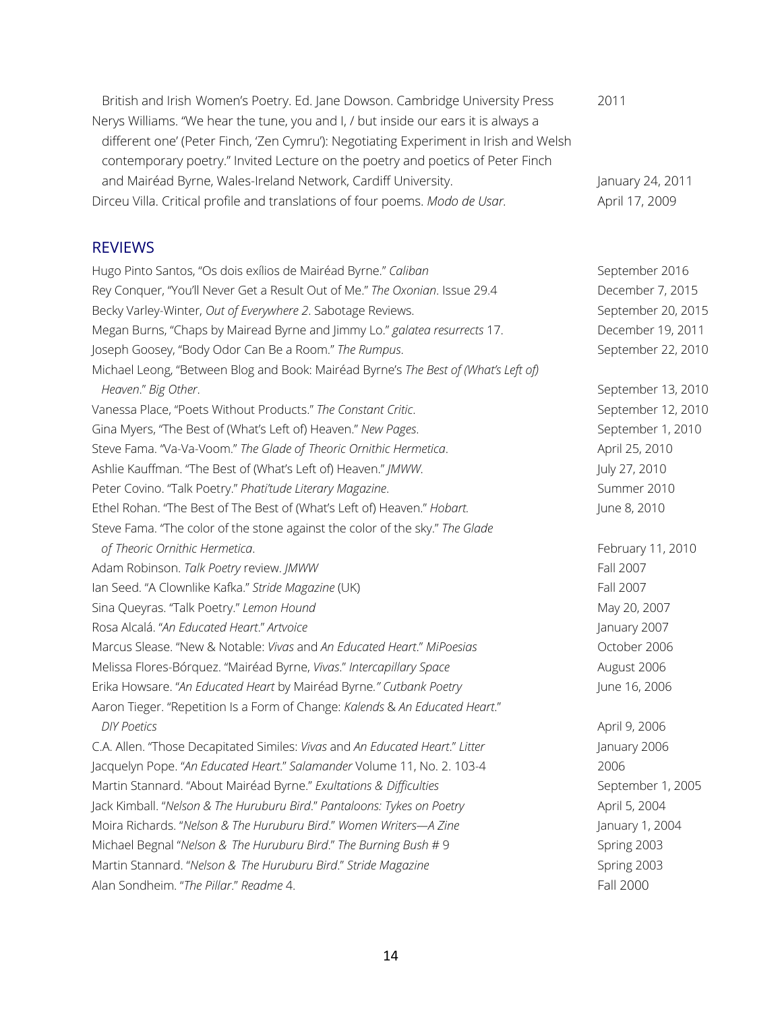| British and Irish Women's Poetry. Ed. Jane Dowson. Cambridge University Press        | 2011             |
|--------------------------------------------------------------------------------------|------------------|
| Nerys Williams. "We hear the tune, you and I, / but inside our ears it is always a   |                  |
| different one' (Peter Finch, 'Zen Cymru'): Negotiating Experiment in Irish and Welsh |                  |
| contemporary poetry." Invited Lecture on the poetry and poetics of Peter Finch       |                  |
| and Mairéad Byrne, Wales-Ireland Network, Cardiff University.                        | January 24, 2011 |
| Dirceu Villa. Critical profile and translations of four poems. Modo de Usar.         | April 17, 2009   |

## REVIEWS

| Hugo Pinto Santos, "Os dois exílios de Mairéad Byrne." Caliban                      | September 2016     |
|-------------------------------------------------------------------------------------|--------------------|
| Rey Conquer, "You'll Never Get a Result Out of Me." The Oxonian. Issue 29.4         | December 7, 2015   |
| Becky Varley-Winter, Out of Everywhere 2. Sabotage Reviews.                         | September 20, 2015 |
| Megan Burns, "Chaps by Mairead Byrne and Jimmy Lo." galatea resurrects 17.          | December 19, 2011  |
| Joseph Goosey, "Body Odor Can Be a Room." The Rumpus.                               | September 22, 2010 |
| Michael Leong, "Between Blog and Book: Mairéad Byrne's The Best of (What's Left of) |                    |
| Heaven." Big Other.                                                                 | September 13, 2010 |
| Vanessa Place, "Poets Without Products." The Constant Critic.                       | September 12, 2010 |
| Gina Myers, "The Best of (What's Left of) Heaven." New Pages.                       | September 1, 2010  |
| Steve Fama. "Va-Va-Voom." The Glade of Theoric Ornithic Hermetica.                  | April 25, 2010     |
| Ashlie Kauffman. "The Best of (What's Left of) Heaven." JMWW.                       | July 27, 2010      |
| Peter Covino. "Talk Poetry." Phati'tude Literary Magazine.                          | Summer 2010        |
| Ethel Rohan. "The Best of The Best of (What's Left of) Heaven." Hobart.             | June 8, 2010       |
| Steve Fama. "The color of the stone against the color of the sky." The Glade        |                    |
| of Theoric Ornithic Hermetica.                                                      | February 11, 2010  |
| Adam Robinson. Talk Poetry review. JMWW                                             | Fall 2007          |
| Ian Seed. "A Clownlike Kafka." Stride Magazine (UK)                                 | Fall 2007          |
| Sina Queyras. "Talk Poetry." Lemon Hound                                            | May 20, 2007       |
| Rosa Alcalá. "An Educated Heart." Artvoice                                          | January 2007       |
| Marcus Slease. "New & Notable: Vivas and An Educated Heart." MiPoesias              | October 2006       |
| Melissa Flores-Bórquez. "Mairéad Byrne, Vivas." Intercapillary Space                | August 2006        |
| Erika Howsare. "An Educated Heart by Mairéad Byrne." Cutbank Poetry                 | June 16, 2006      |
| Aaron Tieger. "Repetition Is a Form of Change: Kalends & An Educated Heart."        |                    |
| <b>DIY Poetics</b>                                                                  | April 9, 2006      |
| C.A. Allen. "Those Decapitated Similes: Vivas and An Educated Heart." Litter        | January 2006       |
| Jacquelyn Pope. "An Educated Heart." Salamander Volume 11, No. 2. 103-4             | 2006               |
| Martin Stannard. "About Mairéad Byrne." Exultations & Difficulties                  | September 1, 2005  |
| Jack Kimball. "Nelson & The Huruburu Bird." Pantaloons: Tykes on Poetry             | April 5, 2004      |
| Moira Richards. "Nelson & The Huruburu Bird." Women Writers-A Zine                  | January 1, 2004    |
| Michael Begnal "Nelson & The Huruburu Bird." The Burning Bush # 9                   | Spring 2003        |
| Martin Stannard. "Nelson & The Huruburu Bird." Stride Magazine                      | Spring 2003        |
| Alan Sondheim. "The Pillar." Readme 4.                                              | <b>Fall 2000</b>   |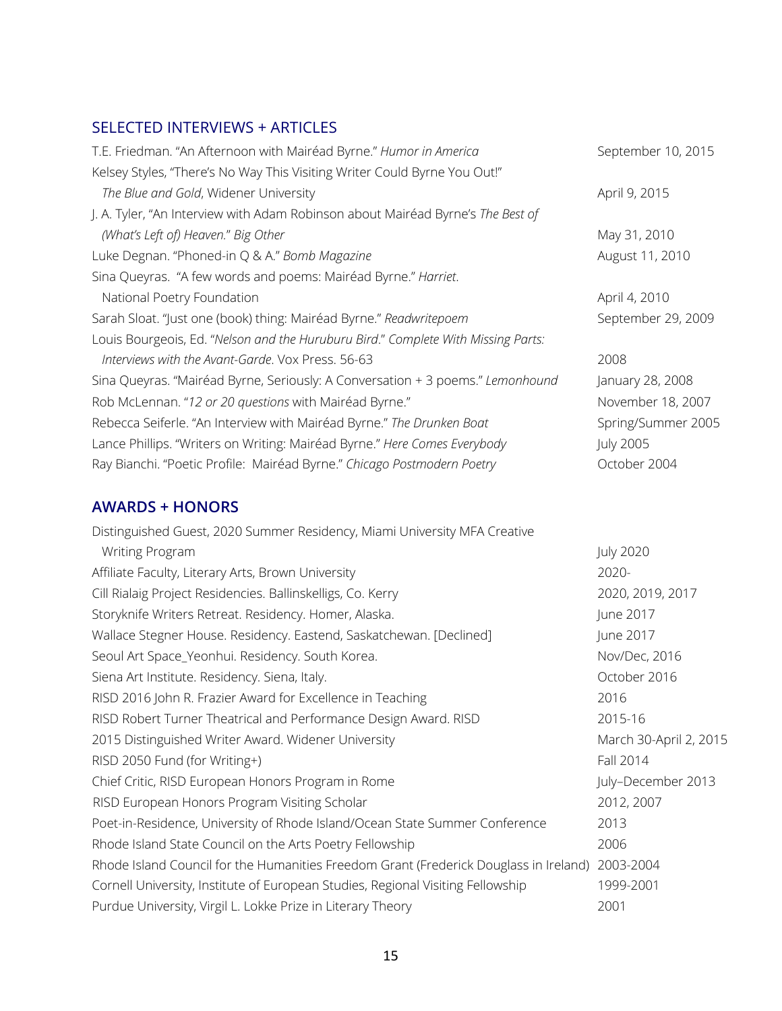## SELECTED INTERVIEWS + ARTICLES

| T.E. Friedman. "An Afternoon with Mairéad Byrne." Humor in America                | September 10, 2015 |
|-----------------------------------------------------------------------------------|--------------------|
| Kelsey Styles, "There's No Way This Visiting Writer Could Byrne You Out!"         |                    |
| The Blue and Gold, Widener University                                             | April 9, 2015      |
| J. A. Tyler, "An Interview with Adam Robinson about Mairéad Byrne's The Best of   |                    |
| (What's Left of) Heaven." Big Other                                               | May 31, 2010       |
| Luke Degnan. "Phoned-in Q & A." Bomb Magazine                                     | August 11, 2010    |
| Sina Queyras. "A few words and poems: Mairéad Byrne." Harriet.                    |                    |
| National Poetry Foundation                                                        | April 4, 2010      |
| Sarah Sloat. "Just one (book) thing: Mairéad Byrne." Readwritepoem                | September 29, 2009 |
| Louis Bourgeois, Ed. "Nelson and the Huruburu Bird." Complete With Missing Parts: |                    |
| Interviews with the Avant-Garde. Vox Press. 56-63                                 | 2008               |
| Sina Queyras. "Mairéad Byrne, Seriously: A Conversation + 3 poems." Lemonhound    | January 28, 2008   |
| Rob McLennan. "12 or 20 questions with Mairéad Byrne."                            | November 18, 2007  |
| Rebecca Seiferle. "An Interview with Mairéad Byrne." The Drunken Boat             | Spring/Summer 2005 |
| Lance Phillips. "Writers on Writing: Mairéad Byrne." Here Comes Everybody         | <b>July 2005</b>   |
| Ray Bianchi. "Poetic Profile: Mairéad Byrne." Chicago Postmodern Poetry           | October 2004       |

## **AWARDS + HONORS**

| Distinguished Guest, 2020 Summer Residency, Miami University MFA Creative                       |                        |
|-------------------------------------------------------------------------------------------------|------------------------|
| Writing Program                                                                                 | <b>July 2020</b>       |
| Affiliate Faculty, Literary Arts, Brown University                                              | 2020-                  |
| Cill Rialaig Project Residencies. Ballinskelligs, Co. Kerry                                     | 2020, 2019, 2017       |
| Storyknife Writers Retreat. Residency. Homer, Alaska.                                           | June 2017              |
| Wallace Stegner House. Residency. Eastend, Saskatchewan. [Declined]                             | June 2017              |
| Seoul Art Space_Yeonhui. Residency. South Korea.                                                | Nov/Dec, 2016          |
| Siena Art Institute. Residency. Siena, Italy.                                                   | October 2016           |
| RISD 2016 John R. Frazier Award for Excellence in Teaching                                      | 2016                   |
| RISD Robert Turner Theatrical and Performance Design Award. RISD                                | 2015-16                |
| 2015 Distinguished Writer Award. Widener University                                             | March 30-April 2, 2015 |
| RISD 2050 Fund (for Writing+)                                                                   | Fall 2014              |
| Chief Critic, RISD European Honors Program in Rome                                              | July-December 2013     |
| RISD European Honors Program Visiting Scholar                                                   | 2012, 2007             |
| Poet-in-Residence, University of Rhode Island/Ocean State Summer Conference                     | 2013                   |
| Rhode Island State Council on the Arts Poetry Fellowship                                        | 2006                   |
| Rhode Island Council for the Humanities Freedom Grant (Frederick Douglass in Ireland) 2003-2004 |                        |
| Cornell University, Institute of European Studies, Regional Visiting Fellowship                 | 1999-2001              |
| Purdue University, Virgil L. Lokke Prize in Literary Theory                                     | 2001                   |